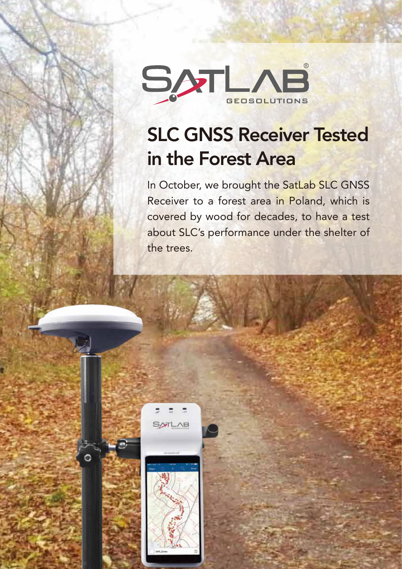

# SLC GNSS Receiver Tested in the Forest Area

In October, we brought the SatLab SLC GNSS Receiver to a forest area in Poland, which is covered by wood for decades, to have a test about SLC's performance under the shelter of the trees.



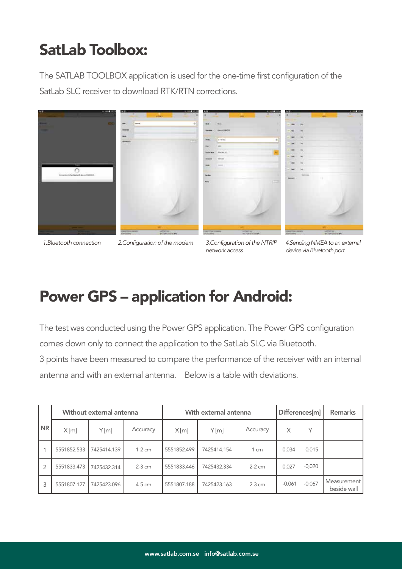# SatLab Toolbox:

The SATLAB TOOLBOX application is used for the one-time first configuration of the SatLab SLC receiver to download RTK/RTN corrections.



*1.Bluetooth connection 2.Configuration of the modem 3.Configuration of the NTRIP* 

*network access*

*4.Sending NMEA to an external device via Bluetooth port*

# Power GPS – application for Android:

The test was conducted using the Power GPS application. The Power GPS configuration comes down only to connect the application to the SatLab SLC via Bluetooth.

3 points have been measured to compare the performance of the receiver with an internal antenna and with an external antenna. Below is a table with deviations.

|    | Without external antenna |             |          | With external antenna |             |          | Differences[m] |              | <b>Remarks</b>             |
|----|--------------------------|-------------|----------|-----------------------|-------------|----------|----------------|--------------|----------------------------|
| NR | X[m]                     | Y[m]        | Accuracy | X[m]                  | Y[m]        | Accuracy | Χ              | $\checkmark$ |                            |
|    | 5551852,533              | 7425414.139 | $1-2$ cm | 5551852.499           | 7425414.154 | 1 cm     | 0.034          | $-0,015$     |                            |
|    | 5551833.473              | 7425432.314 | $2-3$ cm | 5551833.446           | 7425432.334 | $2-2$ cm | 0,027          | $-0,020$     |                            |
| 3  | 5551807.127              | 7425423.096 | 4-5 cm   | 5551807.188           | 7425423.163 | $2-3$ cm | $-0,061$       | $-0,067$     | Measurement<br>beside wall |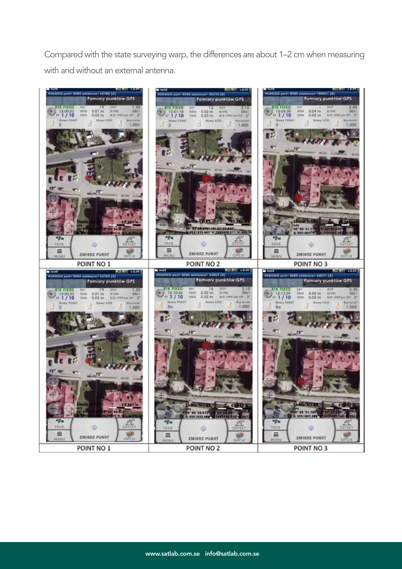Compared with the state surveying warp, the differences are about 1–2 cm when measuring with and without an external antenna.

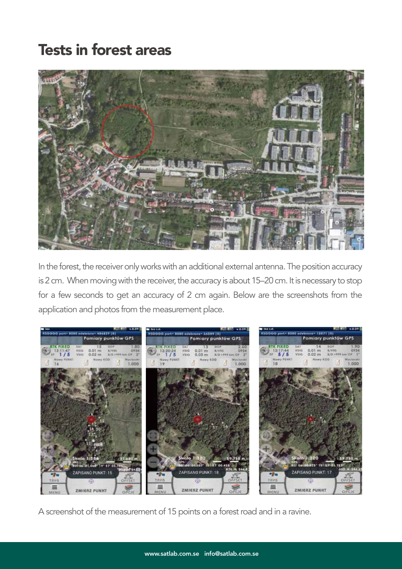### Tests in forest areas



In the forest, the receiver only works with an additional external antenna. The position accuracy is 2 cm. When moving with the receiver, the accuracy is about 15–20 cm. It is necessary to stop for a few seconds to get an accuracy of 2 cm again. Below are the screenshots from the application and photos from the measurement place.



A screenshot of the measurement of 15 points on a forest road and in a ravine.